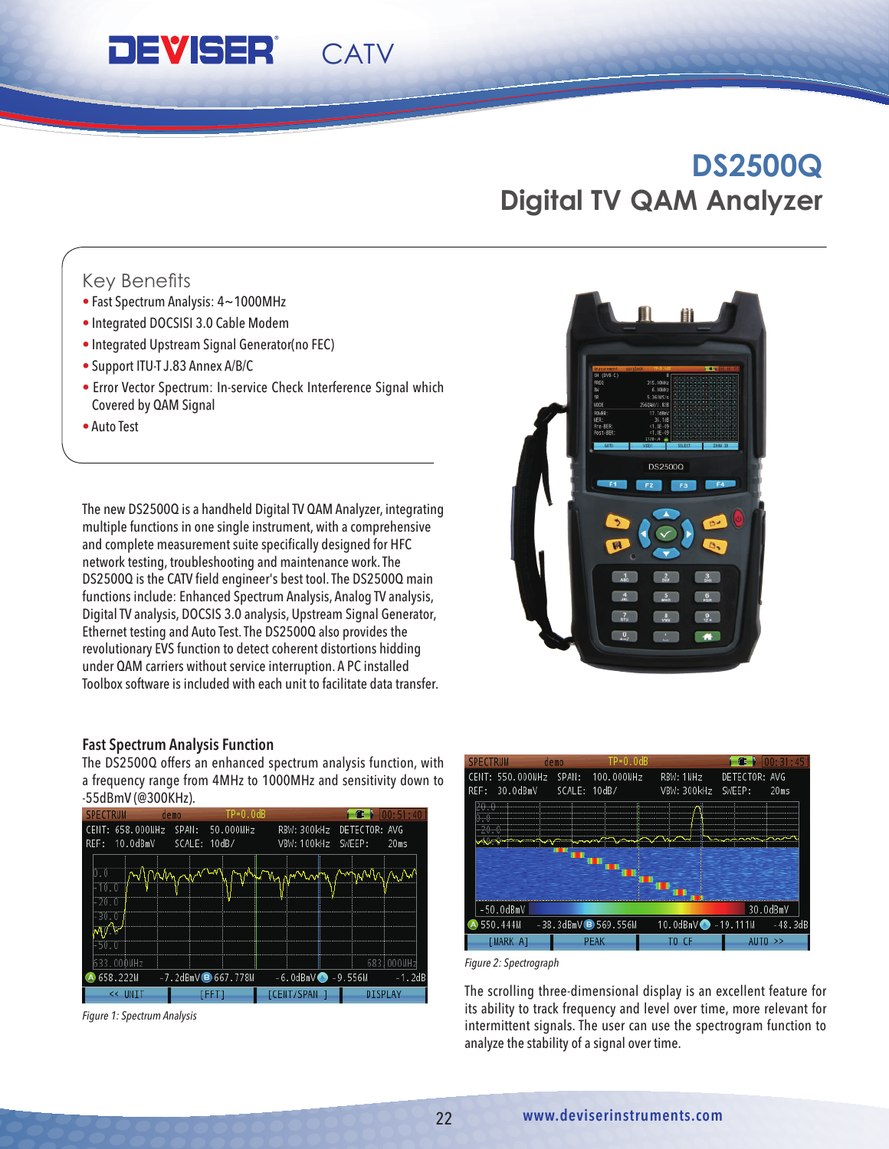## **DEVISER®** CATV

**Model DS8831Q DS8853Q**

 $M_{\rm H}$  ,  $M_{\rm H}$  and  $M_{\rm H}$  and  $M_{\rm H}$  and  $\Delta$ 

 $\overline{\phantom{a}1.0}$  , and  $\overline{\phantom{a}2.0}$  dB  $\overline{\phantom{a}3.0}$  dB  $\overline{\phantom{a}4.0}$  dB  $\overline{\phantom{a}5.0}$  and  $\overline{\phantom{a}7.0}$  dB  $\overline{\phantom{a}8.0}$  dB  $\overline{\phantom{a}7.0}$  dB  $\overline{\phantom{a}8.0}$  dB  $\overline{\phantom{a}9.0}$  dB  $\overline{\phantom{a}9.0}$  dB  $\overline{\phantom{$ 

# **DS2800 DS2500Q Spectrum Analyzer -30 dBmV to +60 dBmV to +60 dBmV to +60 dBmV to +60 dBmV to +60 dBmV to +60 dBmV to +60 dBmV to +60 dBmV to +60 dBmV to +60 dBmV to +60 dBmV to +60 dBmV to +60 dBmV to +60 dBmV to +60 dBmV to +60 dBmV to**

#### **MER** Key Benefits  $R_{\alpha}$  denomination  $\alpha$

- Fast Spectrum Analysis:  $4 \sim 1000$ MHz
- Integrated DOCSISI 3.0 Cable Modem **Contract Contract Contract Contract Contract Contract Contract Contract Contract Contract Contract Contract Contract Contract Contract Contract Contract Contract Contract Contract Cont**
- $\epsilon$  Integrated Unctream Circul Concretering FFC) • Integrated Upstream Signal Generator(no FEC)  $\begin{array}{|c|c|c|}\hline \textbf{1} & \textbf{2} & \textbf{3} & \textbf{4} & \textbf{5} & \textbf{6} & \textbf{7} & \textbf{8} & \textbf{8} & \textbf{9} & \textbf{10} & \textbf{10} & \textbf{10} & \textbf{10} & \textbf{10} & \textbf{10} & \textbf{10} & \textbf{10} & \textbf{10} & \textbf{10} & \textbf{10} &$
- Support ITU-T J.83 Annex A/B/C  $\,$
- **•** Error Vector Spectrum: In-service Check Interference Signal which Exercise 14.8 V / 6 Ah Rechargeable Lithium-Ion 14.8 V / 8 Ah Rechargeable Lithium-Ion 14.8 V / 8 Ah Rechargeable Lithium-Ion 14.8 V / 8 Ah Rechargeable Lithium-Ion 14.8 V / 8 Ah Rechargeable Lithium-Ion 14.8 V / 8 Ah Rech  $\mathcal{L}$ 
	- Auto Test

**General**

The new DS2500Q is a handheld Digital TV QAM Analyzer, integrating the state of the state of the state of the state of the state of the state of the state of the state of the state of the state of the state of the state of multiple functions in one single instrument, with a comprehensive **the computation of the contract of the contract of the contract of the contract of the contract of the contract of the contract of the contract of the con** and complete measurement suite specifically designed for HFC **Color LCD 19 cm (7.5 inches)** Test Color LCD 19 inches network testing, troubleshooting and maintenance work. The maintenance work of the state of the state of the sta المستقل المستقل المستقل المستقل المستقل المستقل المستقل المستقل المستقل المستقل المستقل المستقل المستقل المستقل المستقل المستقل المستقل المستقل المستقل المستقل المستقل المستقل المستقل المستقل المستقل المستقل المستقل المس ها السينة المسلمان المسلمين المسلمين المسلمين المسلمين المسلمين المسلمين المسلمين المسلمين المسلمين المسلمين ا Digital TV analysis, DOCSIS 3.0 analysis, Upstream Signal Generator, Ethernet testing and Auto Test. The DS2500Q also provides the revolutionary EVS function to detect coherent distortions hidding under QAM carriers without service interruption. A PC installed Toolbox software is included with each unit to facilitate data transfer.

#### Fast Spectrum Analysis Function

The DS2500Q offers an enhanced spectrum analysis function, with a frequency range from 4MHz to 1000MHz and sensitivity down to -55dBmV (@300KHz).



*Figure 1: Spectrum Analysis*





*Figure 2: Spectrograph*

The scrolling three-dimensional display is an excellent feature for its ability to track frequency and level over time, more relevant for intermittent signals. The user can use the spectrogram function to analyze the stability of a signal over time.

#### **www.deviserinstruments.com www.deviserinstruments.com www.deviserinstruments.com 5 www.deviserinstruments.com**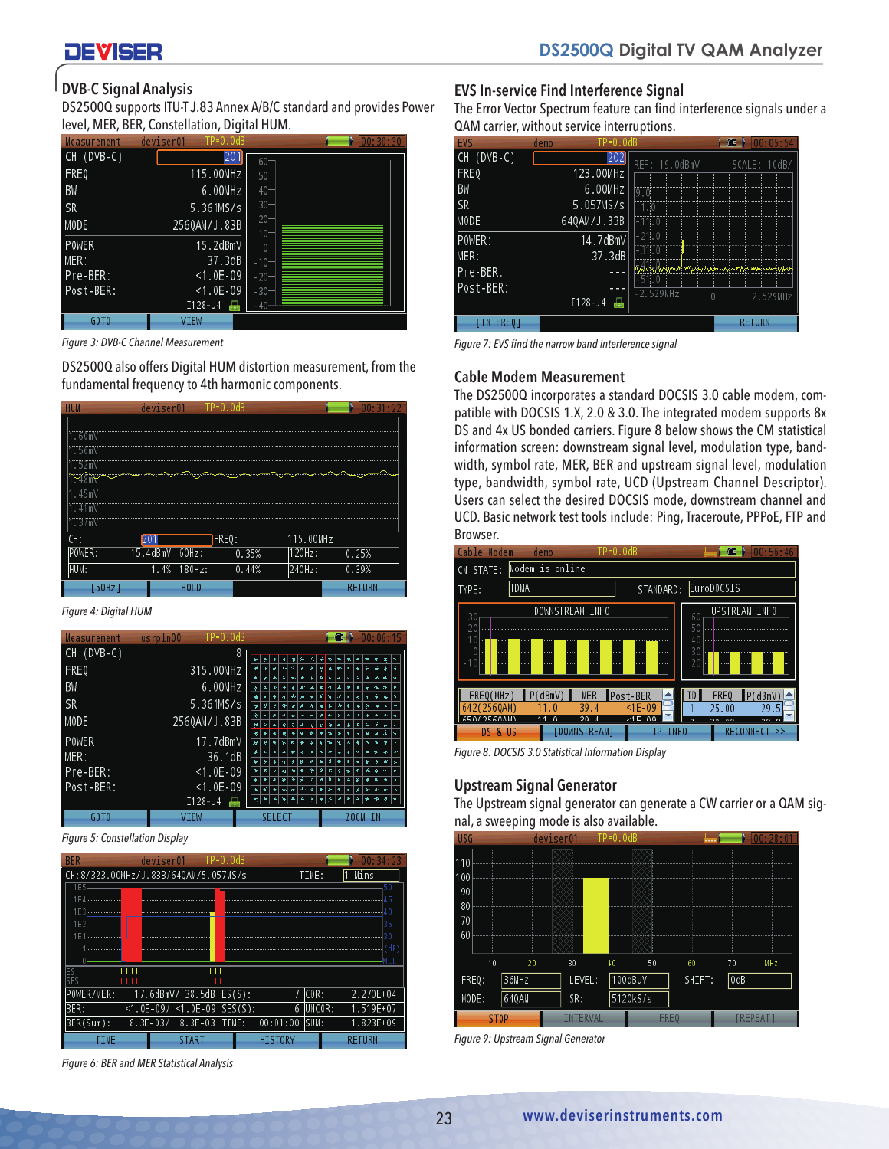# DEVISER

## DVB-C Signal Analysis

DS2500Q supports ITU-T J.83 Annex A/B/C standard and provides Power level, MER, BER, Constellation, Digital HUM.

| <b>Measurement</b> | $TP=0.0dB$<br>deviser01 | 00:30:30         |
|--------------------|-------------------------|------------------|
| CH (DVB-C)         | 20                      | $60 -$           |
| <b>FREQ</b>        | 115.00MHz               | $50 -$           |
| BW                 | 6.00MHz                 | $40 -$           |
| <b>SR</b>          | 5.361MS/s               | $30 -$           |
| MODE               | 2560AM/J.83B            | $20 -$<br>$10 -$ |
| POWER:             | 15.2dBmV                | $0 -$            |
| MER:               | 37.3dB                  | $-10-$           |
| Pre-BER:           | $<$ 1.0E-09             | $-20-$           |
| Post-BER:          | $<$ 1.0E-09             | $-30-$           |
|                    | I128-J4                 | $-40-$           |
| GOT <sub>0</sub>   | <b>VIEW</b>             |                  |

calls *Figure 3: DVB-C Channel Measurement*

DS2500Q also offers Digital HUM distortion measurement, from the fundamental frequency to 4th harmonic components.



• Automated FCC proof-of-performance test *Figure 4: Digital HUM*

| CH (DVB-C)<br>201<br>FREQ<br>315.00MHz<br>BW<br>6.00MHz<br>FRI<br><b>MER</b><br>FREQ(MHz)<br>P(dBmV<br>Post-BER<br>SR<br>5.361MS/s<br>$<$ 1E-09<br>25.<br>42(2560AM)<br>39.4<br>11.0<br>2560AM/J.83B<br>$\sqrt{2}$<br>MODE<br>E50175E0A111<br>21 C<br>$\overline{\phantom{a}}$<br><b>DOWNSTREAMT</b><br>IP INFO<br>DS & US<br>POWER:<br>17.7dBmV<br>Figure 8: DOCSIS 3.0 Statistical Information Display<br>MER:<br>36.1dB<br>Pre-BER:<br>$< 1.0E - 09$<br><b>Upstream Signal Generator</b><br>Post-BER:<br>$<$ 1.0E-09<br>$I128 - J4$<br>The Upstream signal generator can generate a CW c<br>GOTO<br><b>VIEW</b><br><b>SELECT</b><br>ZOOM IN<br>nal, a sweeping mode is also available.<br><b>TRAAL</b><br>11000 | Measurement | $TP=0.0dB$<br>usrpln00 | $\mathbf{G}$ |  |
|--------------------------------------------------------------------------------------------------------------------------------------------------------------------------------------------------------------------------------------------------------------------------------------------------------------------------------------------------------------------------------------------------------------------------------------------------------------------------------------------------------------------------------------------------------------------------------------------------------------------------------------------------------------------------------------------------------------------|-------------|------------------------|--------------|--|
|                                                                                                                                                                                                                                                                                                                                                                                                                                                                                                                                                                                                                                                                                                                    |             |                        |              |  |
|                                                                                                                                                                                                                                                                                                                                                                                                                                                                                                                                                                                                                                                                                                                    |             |                        |              |  |
|                                                                                                                                                                                                                                                                                                                                                                                                                                                                                                                                                                                                                                                                                                                    |             |                        |              |  |
|                                                                                                                                                                                                                                                                                                                                                                                                                                                                                                                                                                                                                                                                                                                    |             |                        |              |  |
|                                                                                                                                                                                                                                                                                                                                                                                                                                                                                                                                                                                                                                                                                                                    |             |                        |              |  |
|                                                                                                                                                                                                                                                                                                                                                                                                                                                                                                                                                                                                                                                                                                                    |             |                        |              |  |
|                                                                                                                                                                                                                                                                                                                                                                                                                                                                                                                                                                                                                                                                                                                    |             |                        |              |  |
|                                                                                                                                                                                                                                                                                                                                                                                                                                                                                                                                                                                                                                                                                                                    |             |                        |              |  |
|                                                                                                                                                                                                                                                                                                                                                                                                                                                                                                                                                                                                                                                                                                                    |             |                        |              |  |
|                                                                                                                                                                                                                                                                                                                                                                                                                                                                                                                                                                                                                                                                                                                    |             |                        |              |  |
|                                                                                                                                                                                                                                                                                                                                                                                                                                                                                                                                                                                                                                                                                                                    |             |                        |              |  |

*Figure 5: Constellation Display* 



*Figure 6: BER and MER Statistical Analysis*

#### EVS In-service Find Interference Signal

The Error Vector Spectrum feature can find interference signals under a QAM carrier, without service interruptions.

| EVS              | ΓP=0⊥0dR<br>demo |                                       | 00:05:5       |
|------------------|------------------|---------------------------------------|---------------|
| CH (DVB-C)       |                  | REF: 19.0dBmV                         | SCALE: 10dB/  |
| FREQ             | 123.00MHz        |                                       |               |
| ΒW               | 6.00MHz          | 9.0                                   |               |
| <b>SR</b>        | 5.057MS/s        | -1.0                                  |               |
| MODE             | 640AM/J.83B      | $-11.0$                               |               |
| POWER:           | 14.7dBmV         | $-21.0$                               |               |
| MER:             | 37.3dB           | $-31.0$                               |               |
| Pre-BER:         |                  | sy hysyn Mwynhaina ing pinuhi<br>11.0 |               |
| Post-BER:        |                  | $-2.529$ MHz                          |               |
|                  | $I128 - J4$      | $\cup$                                | 2.529MHz      |
| <b>TIN FREQ1</b> |                  |                                       | <b>RETURN</b> |
|                  |                  |                                       |               |

*Figure 7: EVS find the narrow band interference signal*

#### Cable Modem Measurement

The DS2500Q incorporates a standard DOCSIS 3.0 cable modem, compatible with DOCSIS 1.X, 2.0 & 3.0. The integrated modem supports 8x DS and 4x US bonded carriers. Figure 8 below shows the CM statistical information screen: downstream signal level, modulation type, bandwidth, symbol rate, MER, BER and upstream signal level, modulation type, bandwidth, symbol rate, UCD (Upstream Channel Descriptor). Users can select the desired DOCSIS mode, downstream channel and UCD. Basic network test tools include: Ping, Traceroute, PPPoE, FTP and Browser.

|                  |                | $\cdots$       |        |               |
|------------------|----------------|----------------|--------|---------------|
| ier:             | 15.4dBmV 60Hz: | 0.35%          | 120Hz: | 0.25%         |
|                  | 180Hz:<br>1.4% | 0.44%          | 240Hz: | 0.39%         |
| [60Hz]           | HOLD           |                |        | <b>RETURN</b> |
| e 4: Digital HUM |                |                |        |               |
| surement         | usrpln00       | $TP = 0.0dB$   |        | - 6 - 1       |
| $(DVB-C)$        |                |                |        |               |
|                  |                | 315.00MHz      |        |               |
|                  |                | 6.00MHz        |        |               |
|                  |                | 5.361MS/s      |        |               |
|                  |                | 256QAM/J.83B   |        |               |
| ED -             |                | $17.7$ dPm $1$ |        |               |

*Figure 8: DOCSIS 3.0 Statistical Information Display*

## Upstream Signal Generator

nal, a sweeping mode is also available.<br>In a sweeping mode is also available. The Upstream signal generator can generate a CW carrier or a QAM sig-



*Figure 9: Upstream Signal Generator*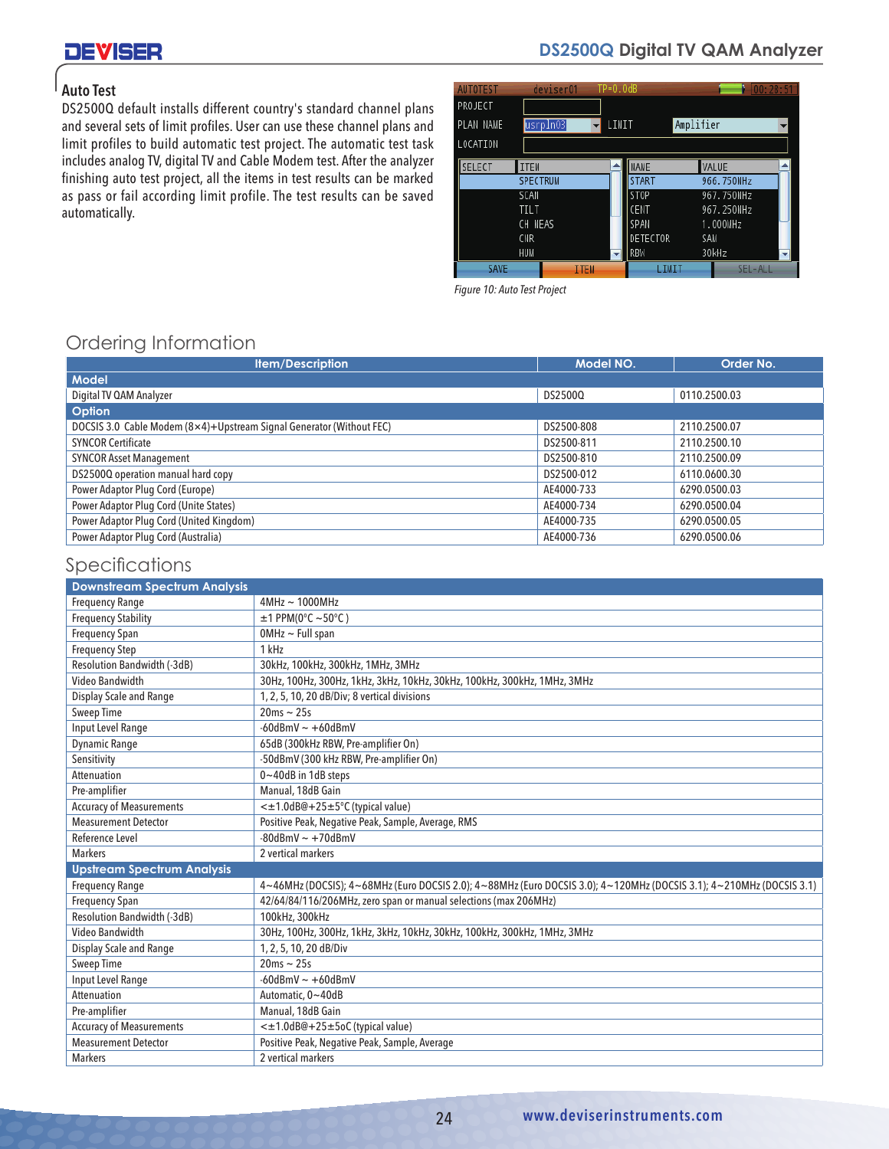# **DEVISER**

# **DS2500Q Digital TV QAM Analyzer**

## Auto Test

DS2500Q default installs different country's standard channel plans and several sets of limit profiles. User can use these channel plans and limit profiles to build automatic test project. The automatic test task includes analog TV, digital TV and Cable Modem test. After the analyzer finishing auto test project, all the items in test results can be marked as pass or fail according limit profile. The test results can be saved automatically.

| <b>AUTOTEST</b> | deviser01       | $TP=0.0dB$  |                 |            | 00:28:5 |
|-----------------|-----------------|-------------|-----------------|------------|---------|
| PROJECT         |                 |             |                 |            |         |
| PLAN NAME       | usrpln03        | LIMIT       |                 | Amplifier  |         |
| LOCATION        |                 |             |                 |            |         |
| <b>SELECT</b>   | ITEM            |             | <b>NAME</b>     | VALUE      |         |
|                 | <b>SPECTRUM</b> |             | <b>START</b>    | 966.750MHz |         |
|                 | SCAN            |             | STOP            | 967.750MHz |         |
|                 | <b>TILT</b>     |             | CENT            | 967.250MHz |         |
|                 | CH MEAS         |             | SPAN            | 1.000MHz   |         |
|                 | <b>CNR</b>      |             | <b>DETECTOR</b> | SAM        |         |
|                 | HUM             |             | RBW             | 30kHz      | ۳I      |
| <b>SAVE</b>     |                 | <b>TTEM</b> | LIMIT           | SEL-ALL    |         |

*Figure 10: Auto Test Project*

#### $\mathbf{F}^{\text{max}}_{\text{max}}$  installation on the first visit reducing services on the first visit reducing services in Ordering Information

| <b>Item/Description</b>                                              | Model NO.  | Order No.    |
|----------------------------------------------------------------------|------------|--------------|
| <b>Model</b>                                                         |            |              |
| Digital TV QAM Analyzer                                              | DS2500Q    | 0110.2500.03 |
| Option                                                               |            |              |
| DOCSIS 3.0 Cable Modem (8×4)+Upstream Signal Generator (Without FEC) | DS2500-808 | 2110.2500.07 |
| <b>SYNCOR Certificate</b>                                            | DS2500-811 | 2110.2500.10 |
| <b>SYNCOR Asset Management</b>                                       | DS2500-810 | 2110.2500.09 |
| DS2500Q operation manual hard copy                                   | DS2500-012 | 6110.0600.30 |
| Power Adaptor Plug Cord (Europe)                                     | AE4000-733 | 6290.0500.03 |
| Power Adaptor Plug Cord (Unite States)                               | AE4000-734 | 6290.0500.04 |
| Power Adaptor Plug Cord (United Kingdom)                             | AE4000-735 | 6290.0500.05 |
| Power Adaptor Plug Cord (Australia)                                  | AE4000-736 | 6290.0500.06 |

#### $\mathcal{L}_{\text{max}}$  is a distortion impairment of the distortion impairments with  $\mathcal{L}_{\text{max}}$ Specifications and group  $S$

| Specifications                      |                                                                                                                      |
|-------------------------------------|----------------------------------------------------------------------------------------------------------------------|
| <b>Downstream Spectrum Analysis</b> |                                                                                                                      |
| <b>Frequency Range</b>              | $4MHz \sim 1000MHz$                                                                                                  |
| <b>Frequency Stability</b>          | $±1$ PPM(0°C ~50°C)                                                                                                  |
| <b>Frequency Span</b>               | $OMHz$ ~ Full span                                                                                                   |
| <b>Frequency Step</b>               | 1 kHz                                                                                                                |
| Resolution Bandwidth (-3dB)         | 30kHz, 100kHz, 300kHz, 1MHz, 3MHz                                                                                    |
| Video Bandwidth                     | 30Hz, 100Hz, 300Hz, 1kHz, 3kHz, 10kHz, 30kHz, 100kHz, 300kHz, 1MHz, 3MHz                                             |
| Display Scale and Range             | 1, 2, 5, 10, 20 dB/Div; 8 vertical divisions                                                                         |
| Sweep Time                          | $20ms \sim 25s$                                                                                                      |
| <b>Input Level Range</b>            | $-60$ dBmV ~ $+60$ dBmV                                                                                              |
| <b>Dynamic Range</b>                | 65dB (300kHz RBW, Pre-amplifier On)                                                                                  |
| Sensitivity                         | -50dBmV (300 kHz RBW, Pre-amplifier On)                                                                              |
| Attenuation                         | 0~40dB in 1dB steps                                                                                                  |
| Pre-amplifier                       | Manual, 18dB Gain                                                                                                    |
| <b>Accuracy of Measurements</b>     | <±1.0dB@+25±5°C (typical value)                                                                                      |
| <b>Measurement Detector</b>         | Positive Peak, Negative Peak, Sample, Average, RMS                                                                   |
| Reference Level                     | $-80$ dBmV ~ $+70$ dBmV                                                                                              |
| <b>Markers</b>                      | 2 vertical markers                                                                                                   |
| <b>Upstream Spectrum Analysis</b>   |                                                                                                                      |
| <b>Frequency Range</b>              | 4~46MHz (DOCSIS); 4~68MHz (Euro DOCSIS 2.0); 4~88MHz (Euro DOCSIS 3.0); 4~120MHz (DOCSIS 3.1); 4~210MHz (DOCSIS 3.1) |
| <b>Frequency Span</b>               | 42/64/84/116/206MHz, zero span or manual selections (max 206MHz)                                                     |
| Resolution Bandwidth (-3dB)         | 100kHz, 300kHz                                                                                                       |
| Video Bandwidth                     | 30Hz, 100Hz, 300Hz, 1kHz, 3kHz, 10kHz, 30kHz, 100kHz, 300kHz, 1MHz, 3MHz                                             |
| Display Scale and Range             | 1, 2, 5, 10, 20 dB/Div                                                                                               |
| Sweep Time                          | $20ms \sim 25s$                                                                                                      |
| <b>Input Level Range</b>            | $-60$ dBmV ~ $+60$ dBmV                                                                                              |
| Attenuation                         | Automatic, 0~40dB                                                                                                    |
| Pre-amplifier                       | Manual, 18dB Gain                                                                                                    |
| <b>Accuracy of Measurements</b>     | < $\pm$ 1.0dB@+25 $\pm$ 5oC (typical value)                                                                          |
| <b>Measurement Detector</b>         | Positive Peak, Negative Peak, Sample, Average                                                                        |
| <b>Markers</b>                      | 2 vertical markers                                                                                                   |